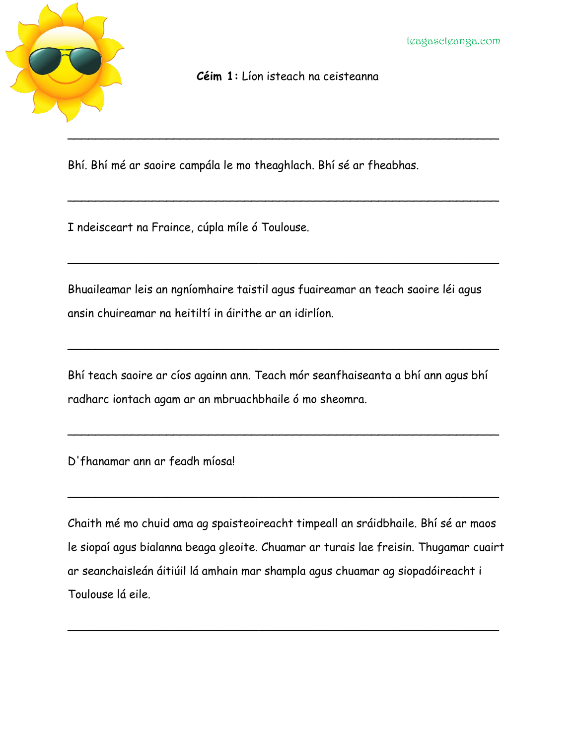

**Céim 1:** Líon isteach na ceisteanna

\_\_\_\_\_\_\_\_\_\_\_\_\_\_\_\_\_\_\_\_\_\_\_\_\_\_\_\_\_\_\_\_\_\_\_\_\_\_\_\_\_\_\_\_\_\_\_\_\_\_\_\_\_\_\_\_\_\_\_\_\_

 $\sim$  . The contract of the contract of the contract of the contract of the contract of the contract of the contract of

 $\sim$  . The contract of the contract of the contract of the contract of the contract of the contract of the contract of

Bhí. Bhí mé ar saoire campála le mo theaghlach. Bhí sé ar fheabhas.

I ndeisceart na Fraince, cúpla míle ó Toulouse.

Bhuaileamar leis an ngníomhaire taistil agus fuaireamar an teach saoire léi agus ansin chuireamar na heitiltí in áirithe ar an idirlíon.

Bhí teach saoire ar cíos againn ann. Teach mór seanfhaiseanta a bhí ann agus bhí radharc iontach agam ar an mbruachbhaile ó mo sheomra.

 $\sim$  . The contract of the contract of the contract of the contract of the contract of the contract of the contract of

 $\sim$  . The contract of the contract of the contract of the contract of the contract of the contract of the contract of

 $\sim$  . The contract of the contract of the contract of the contract of the contract of the contract of the contract of

D'fhanamar ann ar feadh míosa!

Chaith mé mo chuid ama ag spaisteoireacht timpeall an sráidbhaile. Bhí sé ar maos le siopaí agus bialanna beaga gleoite. Chuamar ar turais lae freisin. Thugamar cuairt ar seanchaisleán áitiúil lá amhain mar shampla agus chuamar ag siopadóireacht i Toulouse lá eile.

 $\sim$  . The contract of the contract of the contract of the contract of the contract of the contract of the contract of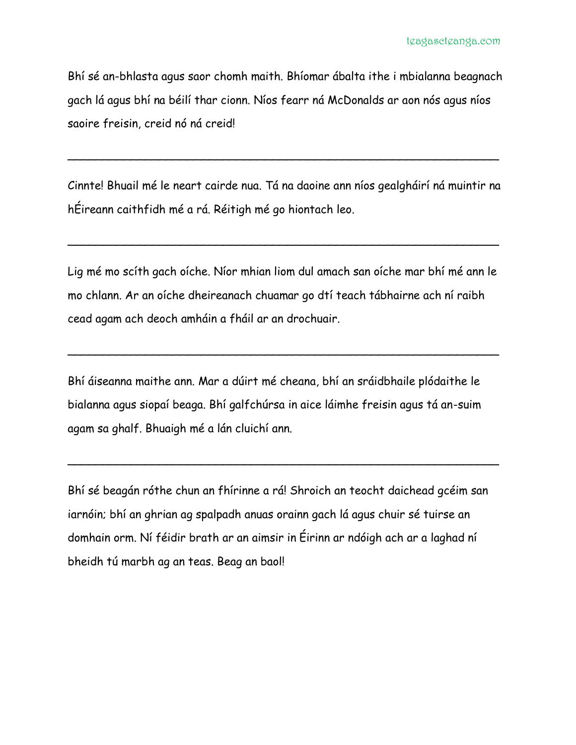Bhí sé an-bhlasta agus saor chomh maith. Bhíomar ábalta ithe i mbialanna beagnach gach lá agus bhí na béilí thar cionn. Níos fearr ná McDonalds ar aon nós agus níos saoire freisin, creid nó ná creid!

Cinnte! Bhuail mé le neart cairde nua. Tá na daoine ann níos gealgháirí ná muintir na hÉireann caithfidh mé a rá. Réitigh mé go hiontach leo.

 $\sim$  . The contract of the contract of the contract of the contract of the contract of the contract of the contract of

 $\sim$  . The contract of the contract of the contract of the contract of the contract of the contract of the contract of

Lig mé mo scíth gach oíche. Níor mhian liom dul amach san oíche mar bhí mé ann le mo chlann. Ar an oíche dheireanach chuamar go dtí teach tábhairne ach ní raibh cead agam ach deoch amháin a fháil ar an drochuair.

 $\sim$  . The contract of the contract of the contract of the contract of the contract of the contract of the contract of

Bhí áiseanna maithe ann. Mar a dúirt mé cheana, bhí an sráidbhaile plódaithe le bialanna agus siopaí beaga. Bhí galfchúrsa in aice láimhe freisin agus tá an-suim agam sa ghalf. Bhuaigh mé a lán cluichí ann.

Bhí sé beagán róthe chun an fhírinne a rá! Shroich an teocht daichead gcéim san iarnóin; bhí an ghrian ag spalpadh anuas orainn gach lá agus chuir sé tuirse an domhain orm. Ní féidir brath ar an aimsir in Éirinn ar ndóigh ach ar a laghad ní bheidh tú marbh ag an teas. Beag an baol!

 $\sim$  . The contract of the contract of the contract of the contract of the contract of the contract of the contract of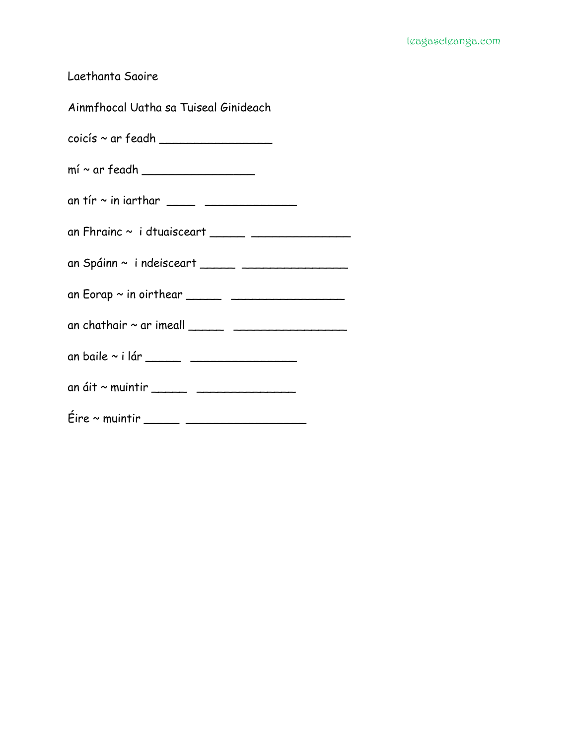Laethanta Saoire

Ainmfhocal Uatha sa Tuiseal Ginideach

coicís ~ ar feadh \_\_\_\_\_\_\_\_\_\_\_\_\_\_\_\_

- mí ~ ar feadh \_\_\_\_\_\_\_\_\_\_\_\_\_\_\_\_
- an tír ~ in iarthar \_\_\_\_ \_\_\_\_\_\_\_\_\_\_\_\_\_
- an Fhrainc  $\sim$  i dtuaisceart \_\_\_\_\_\_ \_\_\_\_\_\_\_\_\_\_\_\_\_\_\_\_
- an Spáinn ~ i ndeisceart \_\_\_\_\_ \_\_\_\_\_\_\_\_\_\_\_\_\_\_\_
- an Eorap ~ in oirthear \_\_\_\_\_ \_\_\_\_\_\_\_\_\_\_\_\_\_\_\_\_
- an chathair ~ ar imeall \_\_\_\_\_ \_\_\_\_\_\_\_\_\_\_\_\_\_\_\_\_
- an baile ~ i lár \_\_\_\_\_ \_\_\_\_\_\_\_\_\_\_\_\_\_\_\_
- an áit ~ muintir \_\_\_\_\_ \_\_\_\_\_\_\_\_\_\_\_\_\_\_
- Éire ~ muintir \_\_\_\_\_ \_\_\_\_\_\_\_\_\_\_\_\_\_\_\_\_\_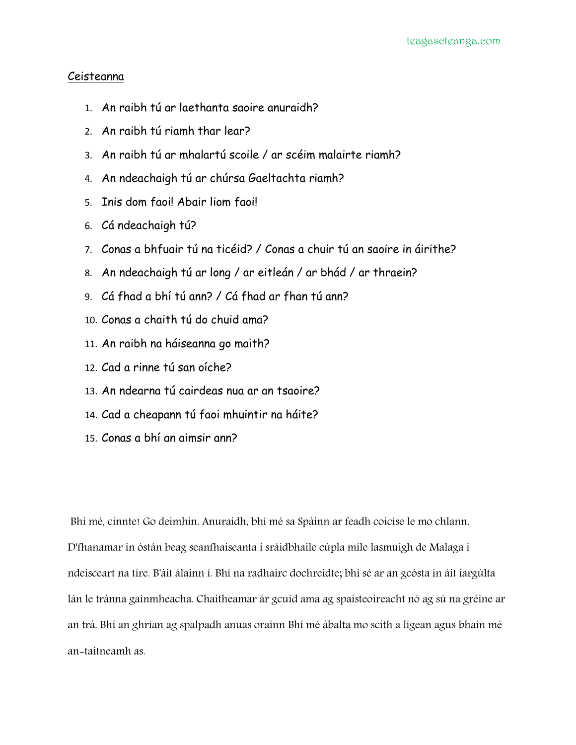## Ceisteanna

- 1. An raibh tú ar laethanta saoire anuraidh?
- 2. An raibh tú riamh thar lear?
- 3. An raibh tú ar mhalartú scoile / ar scéim malairte riamh?
- 4. An ndeachaigh tú ar chúrsa Gaeltachta riamh?
- 5. Inis dom faoi! Abair liom faoi!
- 6. Cá ndeachaigh tú?
- 7. Conas a bhfuair tú na ticéid? / Conas a chuir tú an saoire in áirithe?
- 8. An ndeachaigh tú ar long / ar eitleán / ar bhád / ar thraein?
- 9. Cá fhad a bhí tú ann? / Cá fhad ar fhan tú ann?
- 10. Conas a chaith tú do chuid ama?
- 11. An raibh na háiseanna go maith?
- 12. Cad a rinne tú san oíche?
- 13. An ndearna tú cairdeas nua ar an tsaoire?
- 14. Cad a cheapann tú faoi mhuintir na háite?
- 15. Conas a bhí an aimsir ann?

Bhí mé, cinnte! Go deimhin. Anuraidh, bhí mé sa Spáinn ar feadh coicíse le mo chlann. D'fhanamar in óstán beag seanfhaiseanta i sráidbhaile cúpla míle lasmuigh de Malaga i ndeisceart na tíre. B'áit álainn í. Bhí na radhairc dochreidte; bhí sé ar an gcósta in áit iargúlta lán le tránna gainmheacha. Chaitheamar ár gcuid ama ag spaisteoireacht nó ag sú na gréine ar an trá. Bhí an ghrian ag spalpadh anuas orainn Bhí mé ábalta mo scíth a ligean agus bhain mé an-taitneamh as.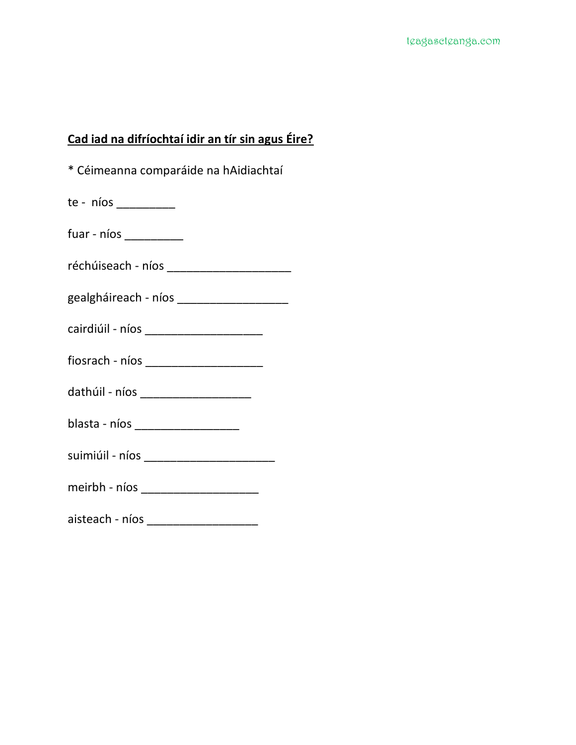## **Cad iad na difríochtaí idir an tír sin agus Éire?**

| * Céimeanna comparáide na hAidiachtaí    |
|------------------------------------------|
| $te - nios$                              |
| $fuar - nios$                            |
|                                          |
|                                          |
| cairdiúil - níos _______________________ |
|                                          |
| dathúil - níos ____________________      |
| blasta - níos _____________________      |
| suimiúil - níos ________________________ |
|                                          |
| aisteach - níos ______________________   |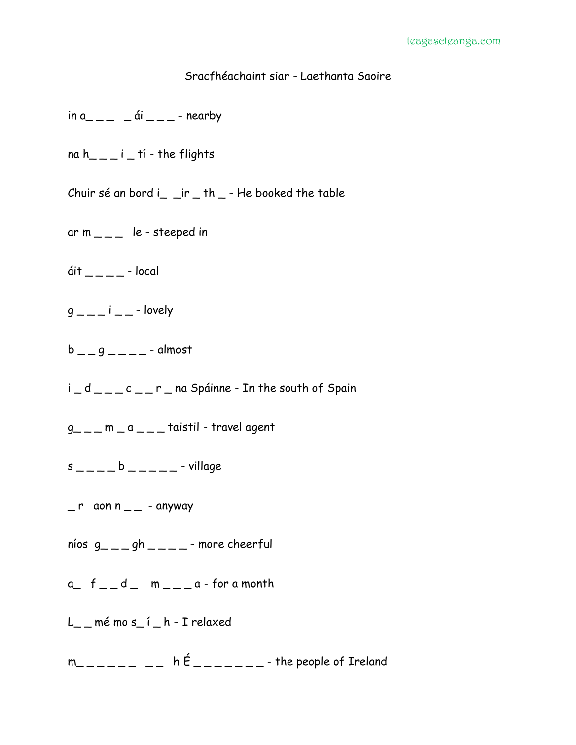## Sracfhéachaint siar - Laethanta Saoire

- $\sin a$ <sub>--</sub>  $\sin a$  --- nearby
- na h<sub>\_\_\_i</sub> i \_tí the flights
- Chuir sé an bord i\_ \_ir \_ th \_ He booked the table
- ar  $m_{---}$  le steeped in
- $\mathsf{dit}\_\_\_\_\_\_$  local
- $q_{---}$  i  $_{---}$  lovely
- $b_{--}$ g $_{---}$  almost
- i \_ d \_ \_ \_ c \_ \_ r \_ na Spáinne In the south of Spain
- $g_{-}$  =  $-$  m  $-$  a  $-$  taistil travel agent
- $s$  \_ \_ \_ \_ b \_ \_ \_ \_ \_ village
- $r$  aon n  $r$  anyway
- níos  $g_{---}$ gh  $---$  more cheerful
- $a_{-}$   $f_{-}$   $d_{-}$   $m_{-}$   $a$  for a month
- L\_ mé mo s\_í \_ h I relaxed
- $m_{-}$   $_{---}$   $_{---}$   $_{-}$  h  $E_{---}$   $_{---}$  the people of Ireland